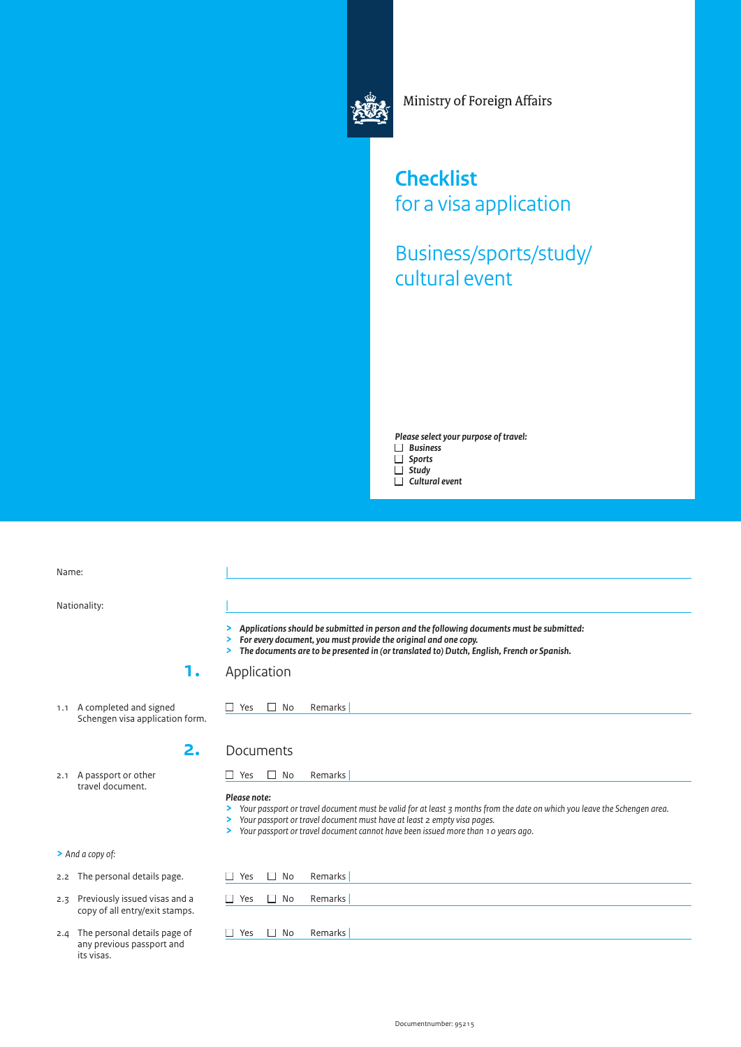

Ministry of Foreign Affairs

**Checklist** for a visa application

Business/sports/study/ cultural event

*Please select your purpose of travel:* ■ *Business*

- 
- *Sports*
- *Study* ■ *Cultural event*

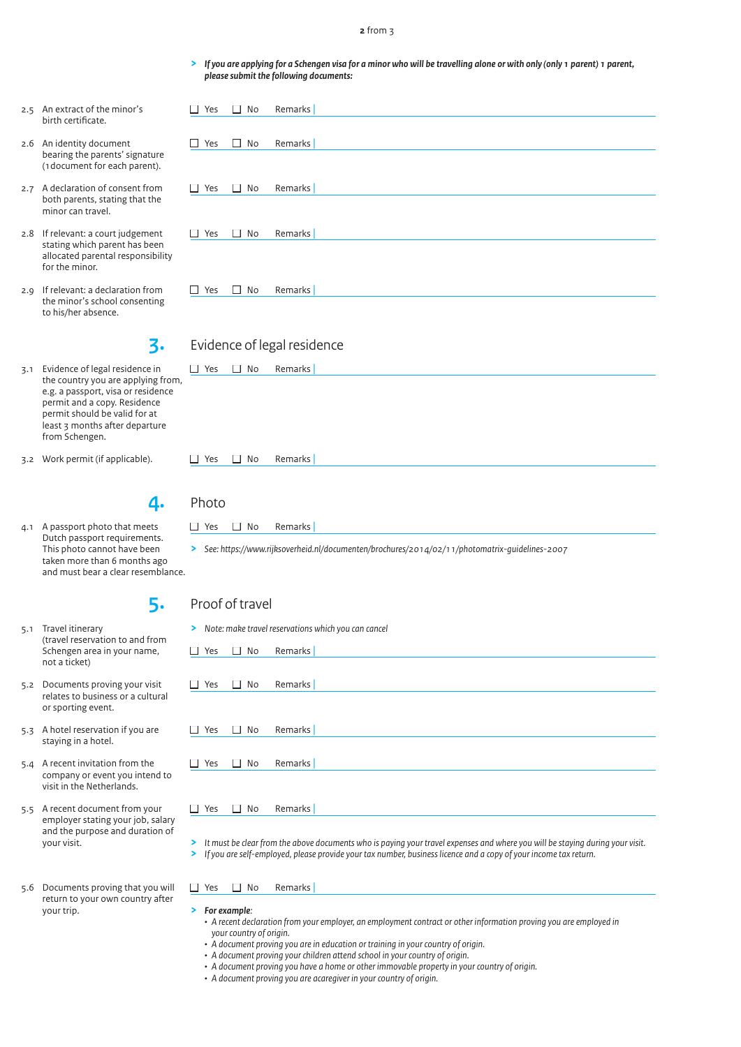#### **2** from 3

**>** *If you are applying for a Schengen visa for a minor who will be travelling alone or with only (only 1 parent) 1 parent, please submit the following documents:*

| Yes<br>П                                                                                                       | $\Box$ No | Remarks |  |  |  |  |
|----------------------------------------------------------------------------------------------------------------|-----------|---------|--|--|--|--|
|                                                                                                                |           |         |  |  |  |  |
| Yes<br>□                                                                                                       | $\Box$ No | Remarks |  |  |  |  |
|                                                                                                                |           |         |  |  |  |  |
|                                                                                                                |           |         |  |  |  |  |
| Yes<br>□                                                                                                       | $\Box$ No | Remarks |  |  |  |  |
|                                                                                                                |           |         |  |  |  |  |
|                                                                                                                |           |         |  |  |  |  |
| Yes<br>П                                                                                                       | $\Box$ No | Remarks |  |  |  |  |
|                                                                                                                |           |         |  |  |  |  |
|                                                                                                                |           |         |  |  |  |  |
|                                                                                                                |           |         |  |  |  |  |
| Yes                                                                                                            | $\Box$ No | Remarks |  |  |  |  |
|                                                                                                                |           |         |  |  |  |  |
|                                                                                                                |           |         |  |  |  |  |
|                                                                                                                |           |         |  |  |  |  |
| in Ford of London and Contract Contract of the Contract of the Contract of the Contract of the Contract of the |           |         |  |  |  |  |

## **3.** Evidence of legal residence

| 3.1 Evidence of legal residence in<br>the country you are applying from,<br>e.g. a passport, visa or residence<br>permit and a copy. Residence<br>permit should be valid for at<br>least 3 months after departure<br>from Schengen. | П.<br>Yes       | $\Box$ No    | Remarks                                                                                                    |
|-------------------------------------------------------------------------------------------------------------------------------------------------------------------------------------------------------------------------------------|-----------------|--------------|------------------------------------------------------------------------------------------------------------|
| 3.2 Work permit (if applicable).                                                                                                                                                                                                    | Yes             | No<br>$\Box$ | Remarks                                                                                                    |
| 4.                                                                                                                                                                                                                                  | Photo           |              |                                                                                                            |
| 4.1 A passport photo that meets<br>Dutch passport requirements.<br>This photo cannot have been<br>taken more than 6 months ago<br>and must bear a clear resemblance.                                                                | $\Box$ Yes      | $\Box$ No    | Remarks<br>> See: https://www.rijksoverheid.nl/documenten/brochures/2014/02/11/photomatrix-quidelines-2007 |
| 5.                                                                                                                                                                                                                                  | Proof of travel |              |                                                                                                            |
| 5.1 Travel itinerary<br>(travel reservation to and from<br>Schengen area in your name,<br>not a ticket)                                                                                                                             | $\Box$ Yes      | $\Box$ No    | > Note: make travel reservations which you can cancel<br>Remarks                                           |
| 5.2 Documents proving your visit<br>relates to business or a cultural<br>or sporting event.                                                                                                                                         | Yes<br>$\Box$   | $\Box$ No    | Remarks                                                                                                    |
| 5.3 A hotel reservation if you are<br>staying in a hotel.                                                                                                                                                                           | Yes             | $\Box$ No    | Remarks                                                                                                    |
| 5.4 A recent invitation from the<br>company or event you intend to<br>visit in the Netherlands.                                                                                                                                     | П.<br>Yes       | $\Box$ No    | Remarks                                                                                                    |
| 5.5 A recent document from your<br>employer stating your job, salary                                                                                                                                                                | Yes<br>$\Box$   | П.<br>No     | Remarks                                                                                                    |

**>** *It must be clear from the above documents who is paying your travel expenses and where you will be staying during your visit.*

**>** *If you are self-employed, please provide your tax number, business licence and a copy of your income tax return.*

### $\Box$  Yes  $\Box$  No Remarks

**>** *For example:*

- *A recent declaration from your employer, an employment contract or other information proving you are employed in your country of origin.*
- *• A document proving you are in education or training in your country of origin.*
- *• A document proving your children attend school in your country of origin.*
- *• A document proving you have a home or other immovable property in your country of origin.*
- *• A document proving you are acaregiver in your country of origin.*
- 2.5 An extract of the minor's birth certificate.
- 2.6 An identity document bearing the parents' signature (1document for each parent).
- 2.7 A declaration of consent from both parents, stating that the minor can travel.
- 2.8 If relevant: a court judgement stating which parent has been allocated parental responsibility for the minor.
- 2.9 If relevant: a declaration from the minor's school consenting to his/her absence.

- 3.1 Evidence of legal residence the country you are ap e.g. a passport, visa or permit and a copy. Res permit should be valid least 3 months after departure from Schengen.
- 3.2 Work permit (if applica
- 4.1 A passport photo that Dutch passport require This photo cannot have taken more than 6 mo and must bear a clear
- 5.1 Travel itinerary (travel reservation to a Schengen area in your not a ticket)
- 5.2 Documents proving you relates to business or a or sporting event.
- 5.3 A hotel reservation if y staying in a hotel.
- 5.4 A recent invitation from company or event you visit in the Netherlands
- 5.5 A recent document fro employer stating your and the purpose and duration of your visit.
- 5.6 Documents proving that you will return to your own country after your trip.